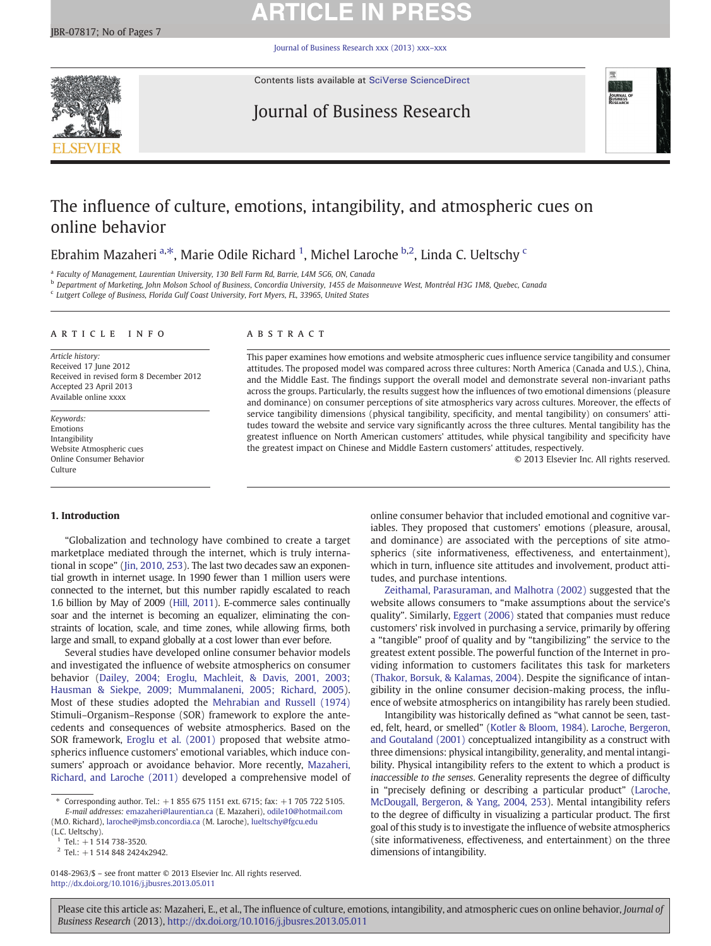# **ARTICLE IN PRESS**

[Journal of Business Research xxx \(2013\) xxx](http://dx.doi.org/10.1016/j.jbusres.2013.05.011)–xxx



Contents lists available at [SciVerse ScienceDirect](http://www.sciencedirect.com/science/journal/01482963)

## Journal of Business Research



## The influence of culture, emotions, intangibility, and atmospheric cues on online behavior

## Ebrahim Mazaheri <sup>a,\*</sup>, Marie Odile Richard <sup>1</sup>, Michel Laroche <sup>b,2</sup>, Linda C. Ueltschy <sup>c</sup>

<sup>a</sup> Faculty of Management, Laurentian University, 130 Bell Farm Rd, Barrie, L4M 5G6, ON, Canada

<sup>b</sup> Department of Marketing, John Molson School of Business, Concordia University, 1455 de Maisonneuve West, Montréal H3G 1M8, Quebec, Canada

<sup>c</sup> Lutgert College of Business, Florida Gulf Coast University, Fort Myers, FL, 33965, United States

### article info abstract

Article history: Received 17 June 2012 Received in revised form 8 December 2012 Accepted 23 April 2013 Available online xxxx

Keywords: Emotions Intangibility Website Atmospheric cues Online Consumer Behavior Culture

This paper examines how emotions and website atmospheric cues influence service tangibility and consumer attitudes. The proposed model was compared across three cultures: North America (Canada and U.S.), China, and the Middle East. The findings support the overall model and demonstrate several non-invariant paths across the groups. Particularly, the results suggest how the influences of two emotional dimensions (pleasure and dominance) on consumer perceptions of site atmospherics vary across cultures. Moreover, the effects of service tangibility dimensions (physical tangibility, specificity, and mental tangibility) on consumers' attitudes toward the website and service vary significantly across the three cultures. Mental tangibility has the greatest influence on North American customers' attitudes, while physical tangibility and specificity have the greatest impact on Chinese and Middle Eastern customers' attitudes, respectively.

© 2013 Elsevier Inc. All rights reserved.

### 1. Introduction

"Globalization and technology have combined to create a target marketplace mediated through the internet, which is truly international in scope" [\(Jin, 2010, 253](#page-6-0)). The last two decades saw an exponential growth in internet usage. In 1990 fewer than 1 million users were connected to the internet, but this number rapidly escalated to reach 1.6 billion by May of 2009 [\(Hill, 2011](#page-6-0)). E-commerce sales continually soar and the internet is becoming an equalizer, eliminating the constraints of location, scale, and time zones, while allowing firms, both large and small, to expand globally at a cost lower than ever before.

Several studies have developed online consumer behavior models and investigated the influence of website atmospherics on consumer behavior [\(Dailey, 2004; Eroglu, Machleit, & Davis, 2001, 2003;](#page-6-0) [Hausman & Siekpe, 2009; Mummalaneni, 2005; Richard, 2005](#page-6-0)). Most of these studies adopted the [Mehrabian and Russell \(1974\)](#page-6-0) Stimuli–Organism–Response (SOR) framework to explore the antecedents and consequences of website atmospherics. Based on the SOR framework, [Eroglu et al. \(2001\)](#page-6-0) proposed that website atmospherics influence customers' emotional variables, which induce consumers' approach or avoidance behavior. More recently, [Mazaheri,](#page-6-0) [Richard, and Laroche \(2011\)](#page-6-0) developed a comprehensive model of

0148-2963/\$ – see front matter © 2013 Elsevier Inc. All rights reserved. <http://dx.doi.org/10.1016/j.jbusres.2013.05.011>

online consumer behavior that included emotional and cognitive variables. They proposed that customers' emotions (pleasure, arousal, and dominance) are associated with the perceptions of site atmospherics (site informativeness, effectiveness, and entertainment), which in turn, influence site attitudes and involvement, product attitudes, and purchase intentions.

[Zeithamal, Parasuraman, and Malhotra \(2002\)](#page-6-0) suggested that the website allows consumers to "make assumptions about the service's quality". Similarly, [Eggert \(2006\)](#page-6-0) stated that companies must reduce customers' risk involved in purchasing a service, primarily by offering a "tangible" proof of quality and by "tangibilizing" the service to the greatest extent possible. The powerful function of the Internet in providing information to customers facilitates this task for marketers [\(Thakor, Borsuk, & Kalamas, 2004](#page-6-0)). Despite the significance of intangibility in the online consumer decision-making process, the influence of website atmospherics on intangibility has rarely been studied.

Intangibility was historically defined as "what cannot be seen, tasted, felt, heard, or smelled" [\(Kotler & Bloom, 1984\)](#page-6-0). [Laroche, Bergeron,](#page-6-0) [and Goutaland \(2001\)](#page-6-0) conceptualized intangibility as a construct with three dimensions: physical intangibility, generality, and mental intangibility. Physical intangibility refers to the extent to which a product is inaccessible to the senses. Generality represents the degree of difficulty in "precisely defining or describing a particular product" [\(Laroche,](#page-6-0) [McDougall, Bergeron, & Yang, 2004, 253](#page-6-0)). Mental intangibility refers to the degree of difficulty in visualizing a particular product. The first goal of this study is to investigate the influence of website atmospherics (site informativeness, effectiveness, and entertainment) on the three dimensions of intangibility.

Corresponding author. Tel.:  $+18556751151$  ext. 6715; fax:  $+17057225105$ . E-mail addresses: [emazaheri@laurentian.ca](mailto:emazaheri@laurentian.ca) (E. Mazaheri), [odile10@hotmail.com](mailto:odile10@hotmail.com) (M.O. Richard), [laroche@jmsb.concordia.ca](mailto:laroche@jmsb.concordia.ca) (M. Laroche), [lueltschy@fgcu.edu](mailto:lueltschy@fgcu.edu)

<sup>(</sup>L.C. Ueltschy).

Tel.:  $+1$  514 738-3520.

 $2$  Tel.: +1 514 848 2424x2942.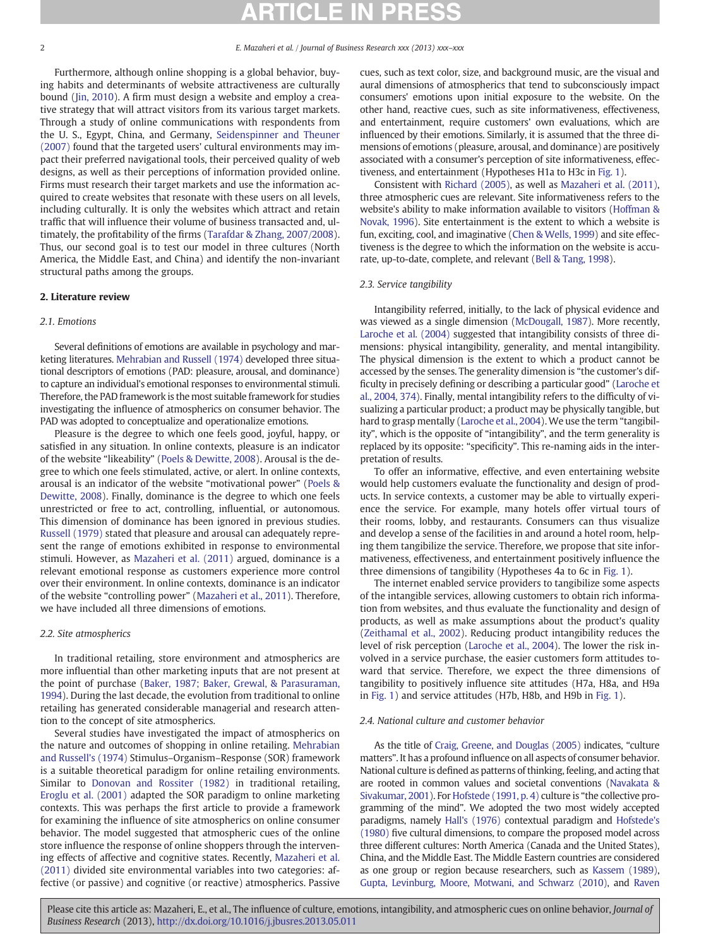Furthermore, although online shopping is a global behavior, buying habits and determinants of website attractiveness are culturally bound [\(Jin, 2010](#page-6-0)). A firm must design a website and employ a creative strategy that will attract visitors from its various target markets. Through a study of online communications with respondents from the U. S., Egypt, China, and Germany, [Seidenspinner and Theuner](#page-6-0) [\(2007\)](#page-6-0) found that the targeted users' cultural environments may impact their preferred navigational tools, their perceived quality of web designs, as well as their perceptions of information provided online. Firms must research their target markets and use the information acquired to create websites that resonate with these users on all levels, including culturally. It is only the websites which attract and retain traffic that will influence their volume of business transacted and, ultimately, the profitability of the firms [\(Tarafdar & Zhang, 2007/2008](#page-6-0)). Thus, our second goal is to test our model in three cultures (North America, the Middle East, and China) and identify the non-invariant structural paths among the groups.

### 2. Literature review

### 2.1. Emotions

Several definitions of emotions are available in psychology and marketing literatures. [Mehrabian and Russell \(1974\)](#page-6-0) developed three situational descriptors of emotions (PAD: pleasure, arousal, and dominance) to capture an individual's emotional responses to environmental stimuli. Therefore, the PAD framework is the most suitable framework for studies investigating the influence of atmospherics on consumer behavior. The PAD was adopted to conceptualize and operationalize emotions.

Pleasure is the degree to which one feels good, joyful, happy, or satisfied in any situation. In online contexts, pleasure is an indicator of the website "likeability" [\(Poels & Dewitte, 2008](#page-6-0)). Arousal is the degree to which one feels stimulated, active, or alert. In online contexts, arousal is an indicator of the website "motivational power" ([Poels &](#page-6-0) [Dewitte, 2008](#page-6-0)). Finally, dominance is the degree to which one feels unrestricted or free to act, controlling, influential, or autonomous. This dimension of dominance has been ignored in previous studies. [Russell \(1979\)](#page-6-0) stated that pleasure and arousal can adequately represent the range of emotions exhibited in response to environmental stimuli. However, as [Mazaheri et al. \(2011\)](#page-6-0) argued, dominance is a relevant emotional response as customers experience more control over their environment. In online contexts, dominance is an indicator of the website "controlling power" ([Mazaheri et al., 2011](#page-6-0)). Therefore, we have included all three dimensions of emotions.

#### 2.2. Site atmospherics

In traditional retailing, store environment and atmospherics are more influential than other marketing inputs that are not present at the point of purchase ([Baker, 1987; Baker, Grewal, & Parasuraman,](#page-6-0) [1994\)](#page-6-0). During the last decade, the evolution from traditional to online retailing has generated considerable managerial and research attention to the concept of site atmospherics.

Several studies have investigated the impact of atmospherics on the nature and outcomes of shopping in online retailing. [Mehrabian](#page-6-0) [and Russell's \(1974\)](#page-6-0) Stimulus–Organism–Response (SOR) framework is a suitable theoretical paradigm for online retailing environments. Similar to [Donovan and Rossiter \(1982\)](#page-6-0) in traditional retailing, [Eroglu et al. \(2001\)](#page-6-0) adapted the SOR paradigm to online marketing contexts. This was perhaps the first article to provide a framework for examining the influence of site atmospherics on online consumer behavior. The model suggested that atmospheric cues of the online store influence the response of online shoppers through the intervening effects of affective and cognitive states. Recently, [Mazaheri et al.](#page-6-0) [\(2011\)](#page-6-0) divided site environmental variables into two categories: affective (or passive) and cognitive (or reactive) atmospherics. Passive cues, such as text color, size, and background music, are the visual and aural dimensions of atmospherics that tend to subconsciously impact consumers' emotions upon initial exposure to the website. On the other hand, reactive cues, such as site informativeness, effectiveness, and entertainment, require customers' own evaluations, which are influenced by their emotions. Similarly, it is assumed that the three dimensions of emotions (pleasure, arousal, and dominance) are positively associated with a consumer's perception of site informativeness, effectiveness, and entertainment (Hypotheses H1a to H3c in [Fig. 1\)](#page-2-0).

Consistent with [Richard \(2005\)](#page-6-0), as well as [Mazaheri et al. \(2011\),](#page-6-0) three atmospheric cues are relevant. Site informativeness refers to the website's ability to make information available to visitors ([Hoffman &](#page-6-0) [Novak, 1996\)](#page-6-0). Site entertainment is the extent to which a website is fun, exciting, cool, and imaginative [\(Chen & Wells, 1999](#page-6-0)) and site effectiveness is the degree to which the information on the website is accurate, up-to-date, complete, and relevant ([Bell & Tang, 1998](#page-6-0)).

### 2.3. Service tangibility

Intangibility referred, initially, to the lack of physical evidence and was viewed as a single dimension ([McDougall, 1987](#page-6-0)). More recently, [Laroche et al. \(2004\)](#page-6-0) suggested that intangibility consists of three dimensions: physical intangibility, generality, and mental intangibility. The physical dimension is the extent to which a product cannot be accessed by the senses. The generality dimension is "the customer's difficulty in precisely defining or describing a particular good" [\(Laroche et](#page-6-0) [al., 2004, 374](#page-6-0)). Finally, mental intangibility refers to the difficulty of visualizing a particular product; a product may be physically tangible, but hard to grasp mentally [\(Laroche et al., 2004](#page-6-0)). We use the term "tangibility", which is the opposite of "intangibility", and the term generality is replaced by its opposite: "specificity". This re-naming aids in the interpretation of results.

To offer an informative, effective, and even entertaining website would help customers evaluate the functionality and design of products. In service contexts, a customer may be able to virtually experience the service. For example, many hotels offer virtual tours of their rooms, lobby, and restaurants. Consumers can thus visualize and develop a sense of the facilities in and around a hotel room, helping them tangibilize the service. Therefore, we propose that site informativeness, effectiveness, and entertainment positively influence the three dimensions of tangibility (Hypotheses 4a to 6c in [Fig. 1\)](#page-2-0).

The internet enabled service providers to tangibilize some aspects of the intangible services, allowing customers to obtain rich information from websites, and thus evaluate the functionality and design of products, as well as make assumptions about the product's quality [\(Zeithamal et al., 2002\)](#page-6-0). Reducing product intangibility reduces the level of risk perception ([Laroche et al., 2004](#page-6-0)). The lower the risk involved in a service purchase, the easier customers form attitudes toward that service. Therefore, we expect the three dimensions of tangibility to positively influence site attitudes (H7a, H8a, and H9a in [Fig. 1\)](#page-2-0) and service attitudes (H7b, H8b, and H9b in [Fig. 1\)](#page-2-0).

#### 2.4. National culture and customer behavior

As the title of [Craig, Greene, and Douglas \(2005\)](#page-6-0) indicates, "culture matters". It has a profound influence on all aspects of consumer behavior. National culture is defined as patterns of thinking, feeling, and acting that are rooted in common values and societal conventions [\(Navakata &](#page-6-0) [Sivakumar, 2001\)](#page-6-0). For [Hofstede \(1991, p. 4\)](#page-6-0) culture is "the collective programming of the mind". We adopted the two most widely accepted paradigms, namely [Hall's \(1976\)](#page-6-0) contextual paradigm and [Hofstede's](#page-6-0) [\(1980\)](#page-6-0) five cultural dimensions, to compare the proposed model across three different cultures: North America (Canada and the United States), China, and the Middle East. The Middle Eastern countries are considered as one group or region because researchers, such as [Kassem \(1989\),](#page-6-0) [Gupta, Levinburg, Moore, Motwani, and Schwarz \(2010\),](#page-6-0) and [Raven](#page-6-0)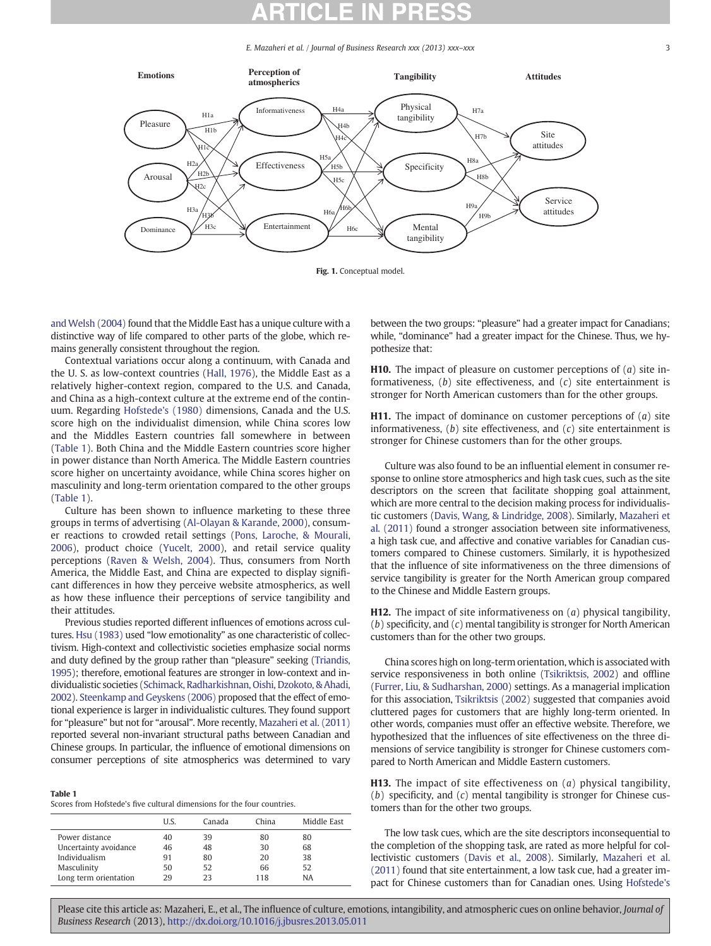E. Mazaheri et al. / Journal of Business Research xxx (2013) xxx–xxx 3

<span id="page-2-0"></span>

Fig. 1. Conceptual model.

[and Welsh \(2004\)](#page-6-0) found that the Middle East has a unique culture with a distinctive way of life compared to other parts of the globe, which remains generally consistent throughout the region.

Contextual variations occur along a continuum, with Canada and the U. S. as low-context countries [\(Hall, 1976\)](#page-6-0), the Middle East as a relatively higher-context region, compared to the U.S. and Canada, and China as a high-context culture at the extreme end of the continuum. Regarding [Hofstede's \(1980\)](#page-6-0) dimensions, Canada and the U.S. score high on the individualist dimension, while China scores low and the Middles Eastern countries fall somewhere in between (Table 1). Both China and the Middle Eastern countries score higher in power distance than North America. The Middle Eastern countries score higher on uncertainty avoidance, while China scores higher on masculinity and long-term orientation compared to the other groups (Table 1).

Culture has been shown to influence marketing to these three groups in terms of advertising ([Al-Olayan & Karande, 2000\)](#page-6-0), consumer reactions to crowded retail settings ([Pons, Laroche, & Mourali,](#page-6-0) [2006\)](#page-6-0), product choice ([Yucelt, 2000\)](#page-6-0), and retail service quality perceptions ([Raven & Welsh, 2004](#page-6-0)). Thus, consumers from North America, the Middle East, and China are expected to display significant differences in how they perceive website atmospherics, as well as how these influence their perceptions of service tangibility and their attitudes.

Previous studies reported different influences of emotions across cultures. [Hsu \(1983\)](#page-6-0) used "low emotionality" as one characteristic of collectivism. High-context and collectivistic societies emphasize social norms and duty defined by the group rather than "pleasure" seeking [\(Triandis,](#page-6-0) [1995](#page-6-0)); therefore, emotional features are stronger in low-context and individualistic societies [\(Schimack, Radharkishnan, Oishi, Dzokoto, & Ahadi,](#page-6-0) [2002](#page-6-0)). [Steenkamp and Geyskens \(2006\)](#page-6-0) proposed that the effect of emotional experience is larger in individualistic cultures. They found support for "pleasure" but not for "arousal". More recently, [Mazaheri et al. \(2011\)](#page-6-0) reported several non-invariant structural paths between Canadian and Chinese groups. In particular, the influence of emotional dimensions on consumer perceptions of site atmospherics was determined to vary

### Table 1

Scores from Hofstede's five cultural dimensions for the four countries.

|                       | U.S. | Canada | China | Middle East |
|-----------------------|------|--------|-------|-------------|
| Power distance        | 40   | 39     | 80    | 80          |
| Uncertainty avoidance | 46   | 48     | 30    | 68          |
| Individualism         | 91   | 80     | 20    | 38          |
| Masculinity           | 50   | 52     | 66    | 52          |
| Long term orientation | ንባ   | つつ     | 118   | <b>NA</b>   |

between the two groups: "pleasure" had a greater impact for Canadians; while, "dominance" had a greater impact for the Chinese. Thus, we hypothesize that:

**H10.** The impact of pleasure on customer perceptions of  $(a)$  site informativeness,  $(b)$  site effectiveness, and  $(c)$  site entertainment is stronger for North American customers than for the other groups.

**H11.** The impact of dominance on customer perceptions of  $(a)$  site informativeness,  $(b)$  site effectiveness, and  $(c)$  site entertainment is stronger for Chinese customers than for the other groups.

Culture was also found to be an influential element in consumer response to online store atmospherics and high task cues, such as the site descriptors on the screen that facilitate shopping goal attainment, which are more central to the decision making process for individualistic customers [\(Davis, Wang, & Lindridge, 2008\)](#page-6-0). Similarly, [Mazaheri et](#page-6-0) [al. \(2011\)](#page-6-0) found a stronger association between site informativeness, a high task cue, and affective and conative variables for Canadian customers compared to Chinese customers. Similarly, it is hypothesized that the influence of site informativeness on the three dimensions of service tangibility is greater for the North American group compared to the Chinese and Middle Eastern groups.

**H12.** The impact of site informativeness on  $(a)$  physical tangibility,  $(b)$  specificity, and  $(c)$  mental tangibility is stronger for North American customers than for the other two groups.

China scores high on long-term orientation, which is associated with service responsiveness in both online [\(Tsikriktsis, 2002\)](#page-6-0) and offline [\(Furrer, Liu, & Sudharshan, 2000\)](#page-6-0) settings. As a managerial implication for this association, [Tsikriktsis \(2002\)](#page-6-0) suggested that companies avoid cluttered pages for customers that are highly long-term oriented. In other words, companies must offer an effective website. Therefore, we hypothesized that the influences of site effectiveness on the three dimensions of service tangibility is stronger for Chinese customers compared to North American and Middle Eastern customers.

H13. The impact of site effectiveness on (a) physical tangibility,  $(b)$  specificity, and  $(c)$  mental tangibility is stronger for Chinese customers than for the other two groups.

The low task cues, which are the site descriptors inconsequential to the completion of the shopping task, are rated as more helpful for collectivistic customers [\(Davis et al., 2008\)](#page-6-0). Similarly, [Mazaheri et al.](#page-6-0) [\(2011\)](#page-6-0) found that site entertainment, a low task cue, had a greater impact for Chinese customers than for Canadian ones. Using [Hofstede's](#page-6-0)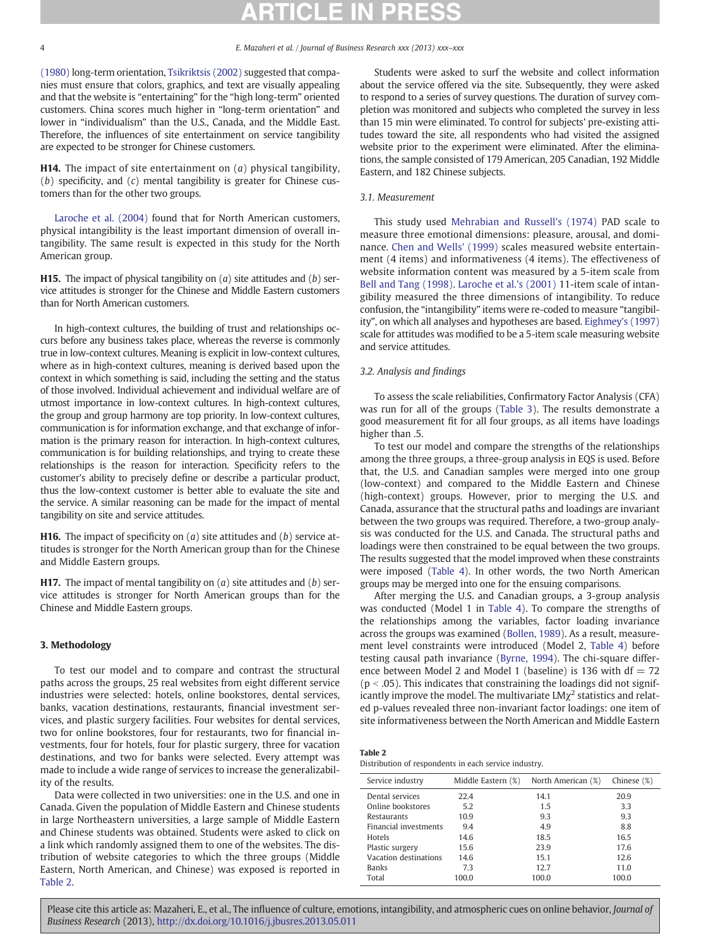#### 4 E. Mazaheri et al. / Journal of Business Research xxx (2013) xxx–xxx

[\(1980\)](#page-6-0) long-term orientation, [Tsikriktsis \(2002\)](#page-6-0) suggested that companies must ensure that colors, graphics, and text are visually appealing and that the website is "entertaining" for the "high long-term" oriented customers. China scores much higher in "long-term orientation" and lower in "individualism" than the U.S., Canada, and the Middle East. Therefore, the influences of site entertainment on service tangibility are expected to be stronger for Chinese customers.

**H14.** The impact of site entertainment on  $(a)$  physical tangibility,  $(b)$  specificity, and  $(c)$  mental tangibility is greater for Chinese customers than for the other two groups.

[Laroche et al. \(2004\)](#page-6-0) found that for North American customers, physical intangibility is the least important dimension of overall intangibility. The same result is expected in this study for the North American group.

**H15.** The impact of physical tangibility on  $(a)$  site attitudes and  $(b)$  service attitudes is stronger for the Chinese and Middle Eastern customers than for North American customers.

In high-context cultures, the building of trust and relationships occurs before any business takes place, whereas the reverse is commonly true in low-context cultures. Meaning is explicit in low-context cultures, where as in high-context cultures, meaning is derived based upon the context in which something is said, including the setting and the status of those involved. Individual achievement and individual welfare are of utmost importance in low-context cultures. In high-context cultures, the group and group harmony are top priority. In low-context cultures, communication is for information exchange, and that exchange of information is the primary reason for interaction. In high-context cultures, communication is for building relationships, and trying to create these relationships is the reason for interaction. Specificity refers to the customer's ability to precisely define or describe a particular product, thus the low-context customer is better able to evaluate the site and the service. A similar reasoning can be made for the impact of mental tangibility on site and service attitudes.

**H16.** The impact of specificity on  $(a)$  site attitudes and  $(b)$  service attitudes is stronger for the North American group than for the Chinese and Middle Eastern groups.

**H17.** The impact of mental tangibility on  $(a)$  site attitudes and  $(b)$  service attitudes is stronger for North American groups than for the Chinese and Middle Eastern groups.

#### 3. Methodology

To test our model and to compare and contrast the structural paths across the groups, 25 real websites from eight different service industries were selected: hotels, online bookstores, dental services, banks, vacation destinations, restaurants, financial investment services, and plastic surgery facilities. Four websites for dental services, two for online bookstores, four for restaurants, two for financial investments, four for hotels, four for plastic surgery, three for vacation destinations, and two for banks were selected. Every attempt was made to include a wide range of services to increase the generalizability of the results.

Data were collected in two universities: one in the U.S. and one in Canada. Given the population of Middle Eastern and Chinese students in large Northeastern universities, a large sample of Middle Eastern and Chinese students was obtained. Students were asked to click on a link which randomly assigned them to one of the websites. The distribution of website categories to which the three groups (Middle Eastern, North American, and Chinese) was exposed is reported in Table 2.

Students were asked to surf the website and collect information about the service offered via the site. Subsequently, they were asked to respond to a series of survey questions. The duration of survey completion was monitored and subjects who completed the survey in less than 15 min were eliminated. To control for subjects' pre-existing attitudes toward the site, all respondents who had visited the assigned website prior to the experiment were eliminated. After the eliminations, the sample consisted of 179 American, 205 Canadian, 192 Middle Eastern, and 182 Chinese subjects.

#### 3.1. Measurement

This study used [Mehrabian and Russell's \(1974\)](#page-6-0) PAD scale to measure three emotional dimensions: pleasure, arousal, and dominance. [Chen and Wells' \(1999\)](#page-6-0) scales measured website entertainment (4 items) and informativeness (4 items). The effectiveness of website information content was measured by a 5-item scale from [Bell and Tang \(1998\).](#page-6-0) [Laroche et al.'s \(2001\)](#page-6-0) 11-item scale of intangibility measured the three dimensions of intangibility. To reduce confusion, the "intangibility" items were re-coded to measure "tangibility", on which all analyses and hypotheses are based. [Eighmey's \(1997\)](#page-6-0) scale for attitudes was modified to be a 5-item scale measuring website and service attitudes.

### 3.2. Analysis and findings

To assess the scale reliabilities, Confirmatory Factor Analysis (CFA) was run for all of the groups ([Table 3](#page-4-0)). The results demonstrate a good measurement fit for all four groups, as all items have loadings higher than .5.

To test our model and compare the strengths of the relationships among the three groups, a three-group analysis in EQS is used. Before that, the U.S. and Canadian samples were merged into one group (low-context) and compared to the Middle Eastern and Chinese (high-context) groups. However, prior to merging the U.S. and Canada, assurance that the structural paths and loadings are invariant between the two groups was required. Therefore, a two-group analysis was conducted for the U.S. and Canada. The structural paths and loadings were then constrained to be equal between the two groups. The results suggested that the model improved when these constraints were imposed ([Table 4](#page-4-0)). In other words, the two North American groups may be merged into one for the ensuing comparisons.

After merging the U.S. and Canadian groups, a 3-group analysis was conducted (Model 1 in [Table 4\)](#page-4-0). To compare the strengths of the relationships among the variables, factor loading invariance across the groups was examined ([Bollen, 1989\)](#page-6-0). As a result, measurement level constraints were introduced (Model 2, [Table 4](#page-4-0)) before testing causal path invariance [\(Byrne, 1994\)](#page-6-0). The chi-square difference between Model 2 and Model 1 (baseline) is 136 with  $df = 72$ ( $p < .05$ ). This indicates that constraining the loadings did not significantly improve the model. The multivariate  $LM\chi^2$  statistics and related p-values revealed three non-invariant factor loadings: one item of site informativeness between the North American and Middle Eastern

#### Table 2

Distribution of respondents in each service industry.

| Middle Eastern (%) | North American (%) | Chinese $(\%)$ |
|--------------------|--------------------|----------------|
| 22.4               | 14.1               | 20.9           |
| 5.2                | 1.5                | 3.3            |
| 10.9               | 9.3                | 9.3            |
| 9.4                | 4.9                | 8.8            |
| 14.6               | 18.5               | 16.5           |
| 15.6               | 23.9               | 17.6           |
| 14.6               | 15.1               | 12.6           |
| 7.3                | 12.7               | 11.0           |
| 100.0              | 100.0              | 100.0          |
|                    |                    |                |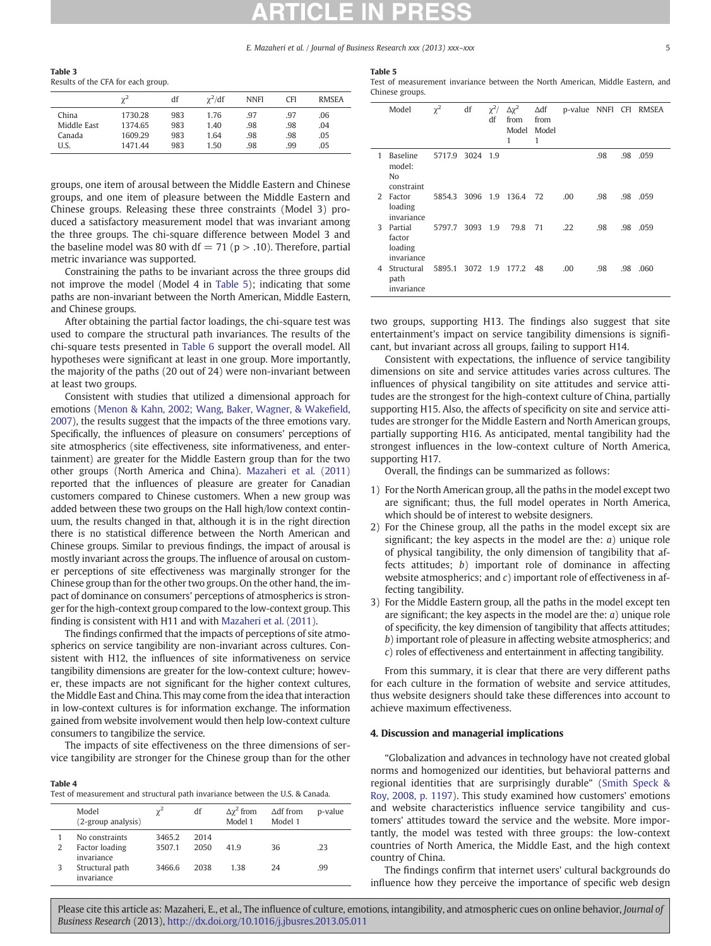E. Mazaheri et al. / Journal of Business Research xxx (2013) xxx-xxx

<span id="page-4-0"></span>Table 3 Results of the CFA for each group.

|             | $\gamma^2$ | df  | $\gamma^2$ /df | <b>NNFI</b> | <b>CFI</b> | <b>RMSEA</b> |
|-------------|------------|-----|----------------|-------------|------------|--------------|
| China       | 1730.28    | 983 | 1.76           | .97         | .97        | .06          |
| Middle East | 1374.65    | 983 | 1.40           | .98         | .98        | .04          |
| Canada      | 1609.29    | 983 | 1.64           | .98         | .98        | .05          |
| U.S.        | 1471.44    | 983 | 1.50           | .98         | .99        | .05          |

groups, one item of arousal between the Middle Eastern and Chinese groups, and one item of pleasure between the Middle Eastern and Chinese groups. Releasing these three constraints (Model 3) produced a satisfactory measurement model that was invariant among the three groups. The chi-square difference between Model 3 and the baseline model was 80 with df = 71 ( $p > .10$ ). Therefore, partial metric invariance was supported.

Constraining the paths to be invariant across the three groups did not improve the model (Model 4 in Table 5); indicating that some paths are non-invariant between the North American, Middle Eastern, and Chinese groups.

After obtaining the partial factor loadings, the chi-square test was used to compare the structural path invariances. The results of the chi-square tests presented in [Table 6](#page-5-0) support the overall model. All hypotheses were significant at least in one group. More importantly, the majority of the paths (20 out of 24) were non-invariant between at least two groups.

Consistent with studies that utilized a dimensional approach for emotions [\(Menon & Kahn, 2002; Wang, Baker, Wagner, & Wake](#page-6-0)field, [2007](#page-6-0)), the results suggest that the impacts of the three emotions vary. Specifically, the influences of pleasure on consumers' perceptions of site atmospherics (site effectiveness, site informativeness, and entertainment) are greater for the Middle Eastern group than for the two other groups (North America and China). [Mazaheri et al. \(2011\)](#page-6-0) reported that the influences of pleasure are greater for Canadian customers compared to Chinese customers. When a new group was added between these two groups on the Hall high/low context continuum, the results changed in that, although it is in the right direction there is no statistical difference between the North American and Chinese groups. Similar to previous findings, the impact of arousal is mostly invariant across the groups. The influence of arousal on customer perceptions of site effectiveness was marginally stronger for the Chinese group than for the other two groups. On the other hand, the impact of dominance on consumers' perceptions of atmospherics is stronger for the high-context group compared to the low-context group. This finding is consistent with H11 and with [Mazaheri et al. \(2011\).](#page-6-0)

The findings confirmed that the impacts of perceptions of site atmospherics on service tangibility are non-invariant across cultures. Consistent with H12, the influences of site informativeness on service tangibility dimensions are greater for the low-context culture; however, these impacts are not significant for the higher context cultures, the Middle East and China. This may come from the idea that interaction in low-context cultures is for information exchange. The information gained from website involvement would then help low-context culture consumers to tangibilize the service.

The impacts of site effectiveness on the three dimensions of service tangibility are stronger for the Chinese group than for the other

#### Table 4 Test of measurement and structural path invariance between the U.S. & Canada.

|   | Model<br>(2-group analysis)                    | $\gamma^2$       | df           | $\Delta\chi^2$ from<br>Model 1 | $\Delta df$ from<br>Model 1 | p-value |
|---|------------------------------------------------|------------------|--------------|--------------------------------|-----------------------------|---------|
| 2 | No constraints<br>Factor loading<br>invariance | 3465.2<br>3507.1 | 2014<br>2050 | 419                            | 36                          | .23     |
| 3 | Structural path<br>invariance                  | 3466.6           | 2038         | 138                            | 24                          | .99     |

#### Table 5

Test of measurement invariance between the North American, Middle Eastern, and Chinese groups.

|               | Model                                         | $\chi^2$        | df       | $\chi^2$ /<br>df | $\Delta \chi^2$<br>from<br>Model<br>1 | $\Delta df$<br>from<br>Model<br>1 | p-value NNFI CFI RMSEA |     |     |      |
|---------------|-----------------------------------------------|-----------------|----------|------------------|---------------------------------------|-----------------------------------|------------------------|-----|-----|------|
| 1             | <b>Baseline</b><br>model:<br>No<br>constraint | 5717.9 3024 1.9 |          |                  |                                       |                                   |                        | .98 | .98 | .059 |
| $\mathcal{L}$ | Factor<br>loading<br>invariance               | 5854.3 3096 1.9 |          |                  | 136.4                                 | 72                                | .00                    | .98 | .98 | .059 |
| Κ             | Partial<br>factor<br>loading<br>invariance    | 5797.7          | 3093 1.9 |                  | 79.8                                  | 71                                | .22                    | .98 | .98 | .059 |
| 4             | Structural<br>path<br>invariance              | 5895.1 3072 1.9 |          |                  | 177.2                                 | 48                                | .00                    | .98 | .98 | .060 |

two groups, supporting H13. The findings also suggest that site entertainment's impact on service tangibility dimensions is significant, but invariant across all groups, failing to support H14.

Consistent with expectations, the influence of service tangibility dimensions on site and service attitudes varies across cultures. The influences of physical tangibility on site attitudes and service attitudes are the strongest for the high-context culture of China, partially supporting H15. Also, the affects of specificity on site and service attitudes are stronger for the Middle Eastern and North American groups, partially supporting H16. As anticipated, mental tangibility had the strongest influences in the low-context culture of North America, supporting H17.

Overall, the findings can be summarized as follows:

- 1) For the North American group, all the paths in the model except two are significant; thus, the full model operates in North America, which should be of interest to website designers.
- 2) For the Chinese group, all the paths in the model except six are significant; the key aspects in the model are the:  $a$ ) unique role of physical tangibility, the only dimension of tangibility that affects attitudes; b) important role of dominance in affecting website atmospherics; and c) important role of effectiveness in affecting tangibility.
- 3) For the Middle Eastern group, all the paths in the model except ten are significant; the key aspects in the model are the:  $a$ ) unique role of specificity, the key dimension of tangibility that affects attitudes; b) important role of pleasure in affecting website atmospherics; and c) roles of effectiveness and entertainment in affecting tangibility.

From this summary, it is clear that there are very different paths for each culture in the formation of website and service attitudes, thus website designers should take these differences into account to achieve maximum effectiveness.

#### 4. Discussion and managerial implications

"Globalization and advances in technology have not created global norms and homogenized our identities, but behavioral patterns and regional identities that are surprisingly durable" ([Smith Speck &](#page-6-0) [Roy, 2008, p. 1197](#page-6-0)). This study examined how customers' emotions and website characteristics influence service tangibility and customers' attitudes toward the service and the website. More importantly, the model was tested with three groups: the low-context countries of North America, the Middle East, and the high context country of China.

The findings confirm that internet users' cultural backgrounds do influence how they perceive the importance of specific web design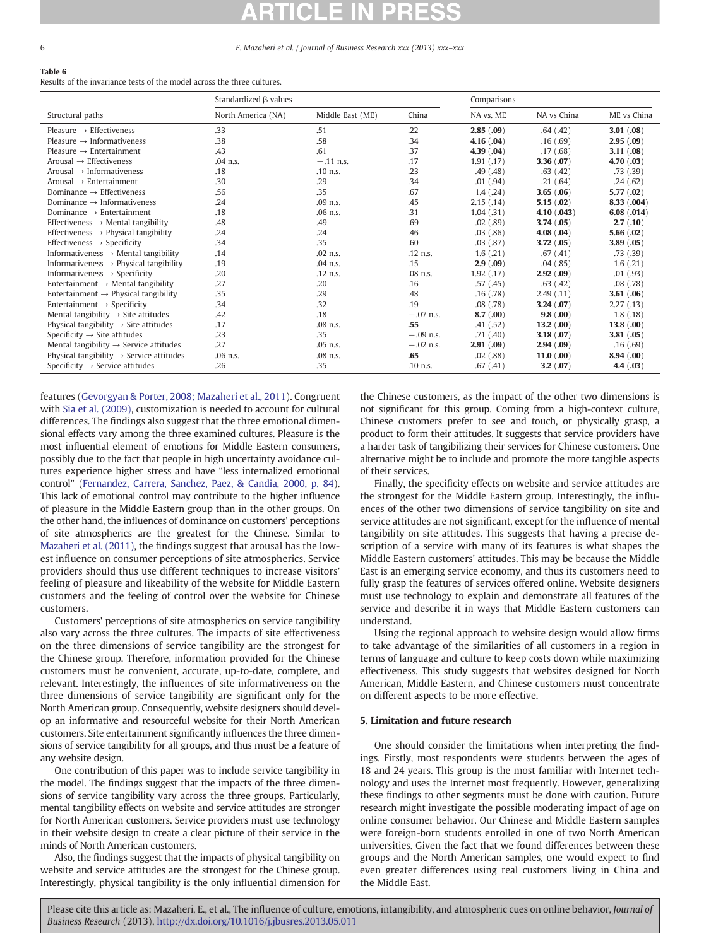#### <span id="page-5-0"></span>6 E. Mazaheri et al. / Journal of Business Research xxx (2013) xxx–xxx

### Table 6

Results of the invariance tests of the model across the three cultures.

|                                                      | Standardized $\beta$ values |                  |             | Comparisons |             |              |  |
|------------------------------------------------------|-----------------------------|------------------|-------------|-------------|-------------|--------------|--|
| Structural paths                                     | North America (NA)          | Middle East (ME) | China       | NA vs. ME   | NA vs China | ME vs China  |  |
| Pleasure $\rightarrow$ Effectiveness                 | .33                         | .51              | .22         | 2.85(.09)   | .64(.42)    | 3.01(.08)    |  |
| Pleasure $\rightarrow$ Informativeness               | .38                         | .58              | .34         | 4.16(.04)   | .16(.69)    | 2.95(.09)    |  |
| Pleasure $\rightarrow$ Entertainment                 | .43                         | .61              | .37         | 4.39(.04)   | .17(.68)    | 3.11(.08)    |  |
| Arousal $\rightarrow$ Effectiveness                  | .04 n.s.                    | $-.11$ n.s.      | .17         | 1.91(0.17)  | 3.36(.07)   | 4.70(.03)    |  |
| Arousal $\rightarrow$ Informativeness                | .18                         | $.10$ n.s.       | .23         | .49(.48)    | .63(.42)    | .73(.39)     |  |
| Arousal $\rightarrow$ Entertainment                  | .30                         | .29              | .34         | .01(.94)    | .21(.64)    | .24(.62)     |  |
| Dominance $\rightarrow$ Effectiveness                | .56                         | .35              | .67         | 1.4(.24)    | 3.65(.06)   | 5.77(.02)    |  |
| Dominance $\rightarrow$ Informativeness              | .24                         | .09 n.s.         | .45         | 2.15(.14)   | 5.15(.02)   | 8.33(.004)   |  |
| Dominance $\rightarrow$ Entertainment                | .18                         | .06 n.s.         | .31         | 1.04(0.31)  | 4.10(.043)  | 6.08(.014)   |  |
| Effectiveness $\rightarrow$ Mental tangibility       | .48                         | .49              | .69         | .02(.89)    | 3.74(.05)   | 2.7(.10)     |  |
| Effectiveness $\rightarrow$ Physical tangibility     | .24                         | .24              | .46         | .03(.86)    | 4.08(.04)   | 5.66 $(.02)$ |  |
| Effectiveness $\rightarrow$ Specificity              | .34                         | .35              | .60         | .03(.87)    | 3.72(.05)   | 3.89(.05)    |  |
| Informativeness $\rightarrow$ Mental tangibility     | .14                         | $.02$ n.s.       | $.12$ n.s.  | 1.6(0.21)   | .67(.41)    | .73(.39)     |  |
| Informativeness $\rightarrow$ Physical tangibility   | .19                         | $.04$ n.s.       | .15         | 2.9(.09)    | .04(.85)    | 1.6(0.21)    |  |
| Informativeness $\rightarrow$ Specificity            | .20                         | $.12$ n.s.       | .08 n.s.    | 1.92(0.17)  | 2.92(.09)   | .01(.93)     |  |
| Entertainment $\rightarrow$ Mental tangibility       | .27                         | .20              | .16         | .57(0.45)   | .63(.42)    | .08(.78)     |  |
| Entertainment $\rightarrow$ Physical tangibility     | .35                         | .29              | .48         | .16(0.78)   | 2.49(.11)   | 3.61(.06)    |  |
| Entertainment $\rightarrow$ Specificity              | .34                         | .32              | .19         | .08(.78)    | 3.24(.07)   | 2.27(0.13)   |  |
| Mental tangibility $\rightarrow$ Site attitudes      | .42                         | .18              | $-.07$ n.s. | 8.7(.00)    | 9.8(.00)    | 1.8(0.18)    |  |
| Physical tangibility $\rightarrow$ Site attitudes    | .17                         | .08 n.s.         | .55         | .41(.52)    | 13.2(.00)   | 13.8 $(.00)$ |  |
| Specificity $\rightarrow$ Site attitudes             | .23                         | .35              | $-.09$ n.s. | .71(.40)    | 3.18(.07)   | 3.81(.05)    |  |
| Mental tangibility $\rightarrow$ Service attitudes   | .27                         | $.05$ n.s.       | $-.02$ n.s. | 2.91(.09)   | 2.94(.09)   | .16(.69)     |  |
| Physical tangibility $\rightarrow$ Service attitudes | $.06$ n.s.                  | .08 n.s.         | .65         | .02(.88)    | 11.0(.00)   | 8.94(.00)    |  |
| Specificity $\rightarrow$ Service attitudes          | .26                         | .35              | .10 n.s.    | .67(.41)    | 3.2(.07)    | 4.4(.03)     |  |

features [\(Gevorgyan & Porter, 2008; Mazaheri et al., 2011\)](#page-6-0). Congruent with [Sia et al. \(2009\)](#page-6-0), customization is needed to account for cultural differences. The findings also suggest that the three emotional dimensional effects vary among the three examined cultures. Pleasure is the most influential element of emotions for Middle Eastern consumers, possibly due to the fact that people in high uncertainty avoidance cultures experience higher stress and have "less internalized emotional control" [\(Fernandez, Carrera, Sanchez, Paez, & Candia, 2000, p. 84\)](#page-6-0). This lack of emotional control may contribute to the higher influence of pleasure in the Middle Eastern group than in the other groups. On the other hand, the influences of dominance on customers' perceptions of site atmospherics are the greatest for the Chinese. Similar to [Mazaheri et al. \(2011\),](#page-6-0) the findings suggest that arousal has the lowest influence on consumer perceptions of site atmospherics. Service providers should thus use different techniques to increase visitors' feeling of pleasure and likeability of the website for Middle Eastern customers and the feeling of control over the website for Chinese customers.

Customers' perceptions of site atmospherics on service tangibility also vary across the three cultures. The impacts of site effectiveness on the three dimensions of service tangibility are the strongest for the Chinese group. Therefore, information provided for the Chinese customers must be convenient, accurate, up-to-date, complete, and relevant. Interestingly, the influences of site informativeness on the three dimensions of service tangibility are significant only for the North American group. Consequently, website designers should develop an informative and resourceful website for their North American customers. Site entertainment significantly influences the three dimensions of service tangibility for all groups, and thus must be a feature of any website design.

One contribution of this paper was to include service tangibility in the model. The findings suggest that the impacts of the three dimensions of service tangibility vary across the three groups. Particularly, mental tangibility effects on website and service attitudes are stronger for North American customers. Service providers must use technology in their website design to create a clear picture of their service in the minds of North American customers.

Also, the findings suggest that the impacts of physical tangibility on website and service attitudes are the strongest for the Chinese group. Interestingly, physical tangibility is the only influential dimension for

the Chinese customers, as the impact of the other two dimensions is not significant for this group. Coming from a high-context culture, Chinese customers prefer to see and touch, or physically grasp, a product to form their attitudes. It suggests that service providers have a harder task of tangibilizing their services for Chinese customers. One alternative might be to include and promote the more tangible aspects of their services.

Finally, the specificity effects on website and service attitudes are the strongest for the Middle Eastern group. Interestingly, the influences of the other two dimensions of service tangibility on site and service attitudes are not significant, except for the influence of mental tangibility on site attitudes. This suggests that having a precise description of a service with many of its features is what shapes the Middle Eastern customers' attitudes. This may be because the Middle East is an emerging service economy, and thus its customers need to fully grasp the features of services offered online. Website designers must use technology to explain and demonstrate all features of the service and describe it in ways that Middle Eastern customers can understand.

Using the regional approach to website design would allow firms to take advantage of the similarities of all customers in a region in terms of language and culture to keep costs down while maximizing effectiveness. This study suggests that websites designed for North American, Middle Eastern, and Chinese customers must concentrate on different aspects to be more effective.

#### 5. Limitation and future research

One should consider the limitations when interpreting the findings. Firstly, most respondents were students between the ages of 18 and 24 years. This group is the most familiar with Internet technology and uses the Internet most frequently. However, generalizing these findings to other segments must be done with caution. Future research might investigate the possible moderating impact of age on online consumer behavior. Our Chinese and Middle Eastern samples were foreign-born students enrolled in one of two North American universities. Given the fact that we found differences between these groups and the North American samples, one would expect to find even greater differences using real customers living in China and the Middle East.